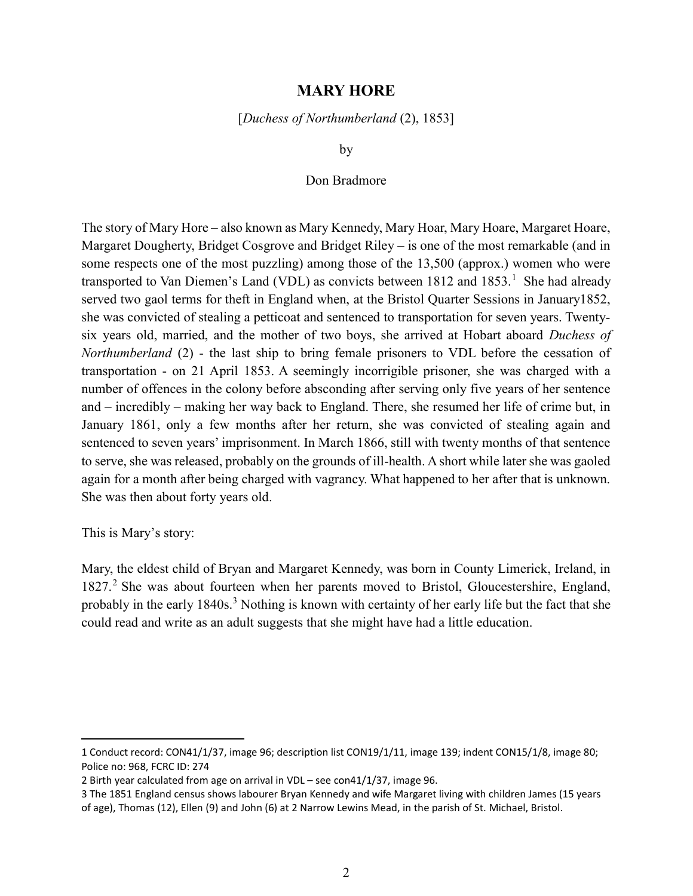## MARY HORE

[Duchess of Northumberland (2), 1853]

by

## Don Bradmore

The story of Mary Hore – also known as Mary Kennedy, Mary Hoar, Mary Hoare, Margaret Hoare, Margaret Dougherty, Bridget Cosgrove and Bridget Riley – is one of the most remarkable (and in some respects one of the most puzzling) among those of the 13,500 (approx.) women who were transported to Van Diemen's Land (VDL) as convicts between 1812 and 1853.<sup>1</sup> She had already served two gaol terms for theft in England when, at the Bristol Quarter Sessions in January1852, she was convicted of stealing a petticoat and sentenced to transportation for seven years. Twentysix years old, married, and the mother of two boys, she arrived at Hobart aboard Duchess of Northumberland (2) - the last ship to bring female prisoners to VDL before the cessation of transportation - on 21 April 1853. A seemingly incorrigible prisoner, she was charged with a number of offences in the colony before absconding after serving only five years of her sentence and – incredibly – making her way back to England. There, she resumed her life of crime but, in January 1861, only a few months after her return, she was convicted of stealing again and sentenced to seven years' imprisonment. In March 1866, still with twenty months of that sentence to serve, she was released, probably on the grounds of ill-health. A short while later she was gaoled again for a month after being charged with vagrancy. What happened to her after that is unknown. She was then about forty years old.

This is Mary's story:

 $\overline{a}$ 

Mary, the eldest child of Bryan and Margaret Kennedy, was born in County Limerick, Ireland, in 1827.<sup>2</sup> She was about fourteen when her parents moved to Bristol, Gloucestershire, England, probably in the early 1840s.<sup>3</sup> Nothing is known with certainty of her early life but the fact that she could read and write as an adult suggests that she might have had a little education.

<sup>1</sup> Conduct record: CON41/1/37, image 96; description list CON19/1/11, image 139; indent CON15/1/8, image 80; Police no: 968, FCRC ID: 274

<sup>2</sup> Birth year calculated from age on arrival in VDL – see con41/1/37, image 96.

<sup>3</sup> The 1851 England census shows labourer Bryan Kennedy and wife Margaret living with children James (15 years of age), Thomas (12), Ellen (9) and John (6) at 2 Narrow Lewins Mead, in the parish of St. Michael, Bristol.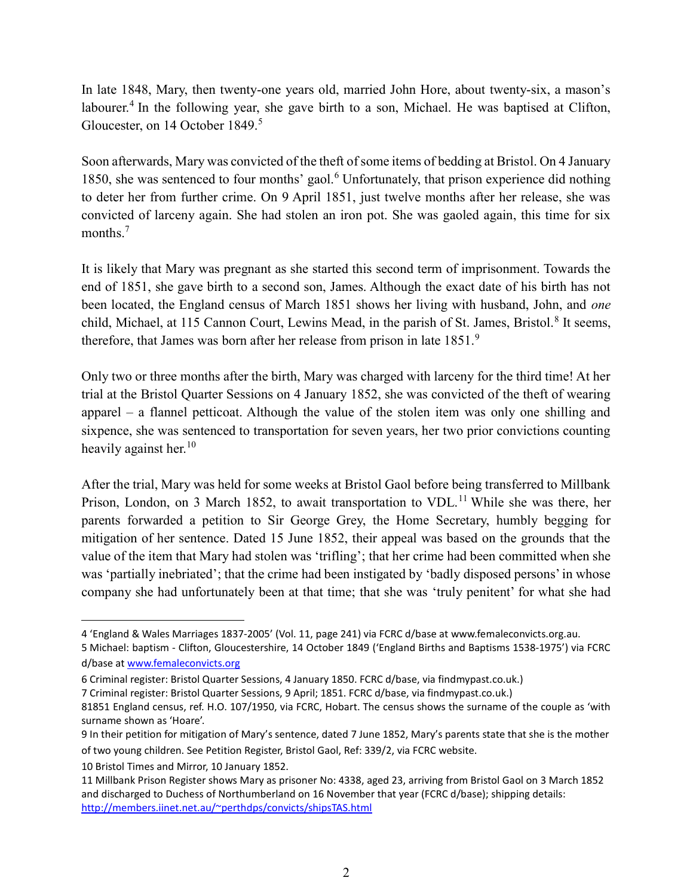In late 1848, Mary, then twenty-one years old, married John Hore, about twenty-six, a mason's labourer.<sup>4</sup> In the following year, she gave birth to a son, Michael. He was baptised at Clifton, Gloucester, on 14 October 1849.<sup>5</sup>

Soon afterwards, Mary was convicted of the theft of some items of bedding at Bristol. On 4 January 1850, she was sentenced to four months' gaol.<sup>6</sup> Unfortunately, that prison experience did nothing to deter her from further crime. On 9 April 1851, just twelve months after her release, she was convicted of larceny again. She had stolen an iron pot. She was gaoled again, this time for six months. $^7$ 

It is likely that Mary was pregnant as she started this second term of imprisonment. Towards the end of 1851, she gave birth to a second son, James. Although the exact date of his birth has not been located, the England census of March 1851 shows her living with husband, John, and one child, Michael, at 115 Cannon Court, Lewins Mead, in the parish of St. James, Bristol.<sup>8</sup> It seems, therefore, that James was born after her release from prison in late  $1851.^9$ 

Only two or three months after the birth, Mary was charged with larceny for the third time! At her trial at the Bristol Quarter Sessions on 4 January 1852, she was convicted of the theft of wearing apparel – a flannel petticoat. Although the value of the stolen item was only one shilling and sixpence, she was sentenced to transportation for seven years, her two prior convictions counting heavily against her.<sup>10</sup>

After the trial, Mary was held for some weeks at Bristol Gaol before being transferred to Millbank Prison, London, on 3 March 1852, to await transportation to VDL.<sup>11</sup> While she was there, her parents forwarded a petition to Sir George Grey, the Home Secretary, humbly begging for mitigation of her sentence. Dated 15 June 1852, their appeal was based on the grounds that the value of the item that Mary had stolen was 'trifling'; that her crime had been committed when she was 'partially inebriated'; that the crime had been instigated by 'badly disposed persons' in whose company she had unfortunately been at that time; that she was 'truly penitent' for what she had

<sup>4 &#</sup>x27;England & Wales Marriages 1837-2005' (Vol. 11, page 241) via FCRC d/base at www.femaleconvicts.org.au.

<sup>5</sup> Michael: baptism - Clifton, Gloucestershire, 14 October 1849 ('England Births and Baptisms 1538-1975') via FCRC d/base at www.femaleconvicts.org

<sup>6</sup> Criminal register: Bristol Quarter Sessions, 4 January 1850. FCRC d/base, via findmypast.co.uk.)

<sup>7</sup> Criminal register: Bristol Quarter Sessions, 9 April; 1851. FCRC d/base, via findmypast.co.uk.)

<sup>81851</sup> England census, ref. H.O. 107/1950, via FCRC, Hobart. The census shows the surname of the couple as 'with surname shown as 'Hoare'.

<sup>9</sup> In their petition for mitigation of Mary's sentence, dated 7 June 1852, Mary's parents state that she is the mother of two young children. See Petition Register, Bristol Gaol, Ref: 339/2, via FCRC website.

<sup>10</sup> Bristol Times and Mirror, 10 January 1852.

<sup>11</sup> Millbank Prison Register shows Mary as prisoner No: 4338, aged 23, arriving from Bristol Gaol on 3 March 1852 and discharged to Duchess of Northumberland on 16 November that year (FCRC d/base); shipping details: http://members.iinet.net.au/~perthdps/convicts/shipsTAS.html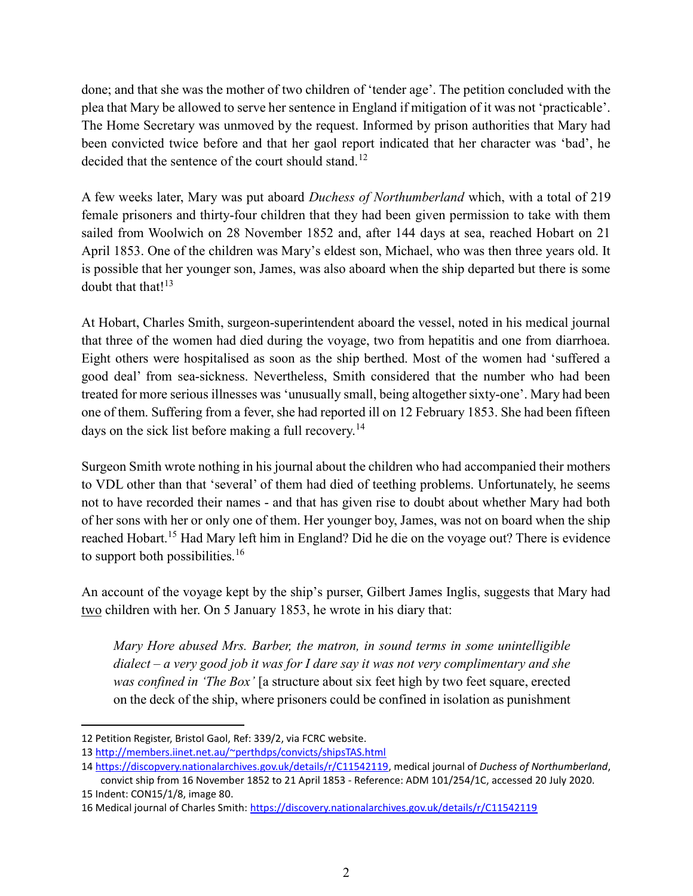done; and that she was the mother of two children of 'tender age'. The petition concluded with the plea that Mary be allowed to serve her sentence in England if mitigation of it was not 'practicable'. The Home Secretary was unmoved by the request. Informed by prison authorities that Mary had been convicted twice before and that her gaol report indicated that her character was 'bad', he decided that the sentence of the court should stand.<sup>12</sup>

A few weeks later, Mary was put aboard Duchess of Northumberland which, with a total of 219 female prisoners and thirty-four children that they had been given permission to take with them sailed from Woolwich on 28 November 1852 and, after 144 days at sea, reached Hobart on 21 April 1853. One of the children was Mary's eldest son, Michael, who was then three years old. It is possible that her younger son, James, was also aboard when the ship departed but there is some doubt that that! $13$ 

At Hobart, Charles Smith, surgeon-superintendent aboard the vessel, noted in his medical journal that three of the women had died during the voyage, two from hepatitis and one from diarrhoea. Eight others were hospitalised as soon as the ship berthed. Most of the women had 'suffered a good deal' from sea-sickness. Nevertheless, Smith considered that the number who had been treated for more serious illnesses was 'unusually small, being altogether sixty-one'. Mary had been one of them. Suffering from a fever, she had reported ill on 12 February 1853. She had been fifteen days on the sick list before making a full recovery.<sup>14</sup>

Surgeon Smith wrote nothing in his journal about the children who had accompanied their mothers to VDL other than that 'several' of them had died of teething problems. Unfortunately, he seems not to have recorded their names - and that has given rise to doubt about whether Mary had both of her sons with her or only one of them. Her younger boy, James, was not on board when the ship reached Hobart.<sup>15</sup> Had Mary left him in England? Did he die on the voyage out? There is evidence to support both possibilities.<sup>16</sup>

An account of the voyage kept by the ship's purser, Gilbert James Inglis, suggests that Mary had two children with her. On 5 January 1853, he wrote in his diary that:

Mary Hore abused Mrs. Barber, the matron, in sound terms in some unintelligible dialect – a very good job it was for I dare say it was not very complimentary and she was confined in 'The Box' [a structure about six feet high by two feet square, erected on the deck of the ship, where prisoners could be confined in isolation as punishment

<sup>12</sup> Petition Register, Bristol Gaol, Ref: 339/2, via FCRC website.

<sup>13</sup> http://members.iinet.net.au/~perthdps/convicts/shipsTAS.html

<sup>14</sup> https://discopvery.nationalarchives.gov.uk/details/r/C11542119, medical journal of Duchess of Northumberland, convict ship from 16 November 1852 to 21 April 1853 - Reference: ADM 101/254/1C, accessed 20 July 2020.

<sup>15</sup> Indent: CON15/1/8, image 80. 16 Medical journal of Charles Smith: https://discovery.nationalarchives.gov.uk/details/r/C11542119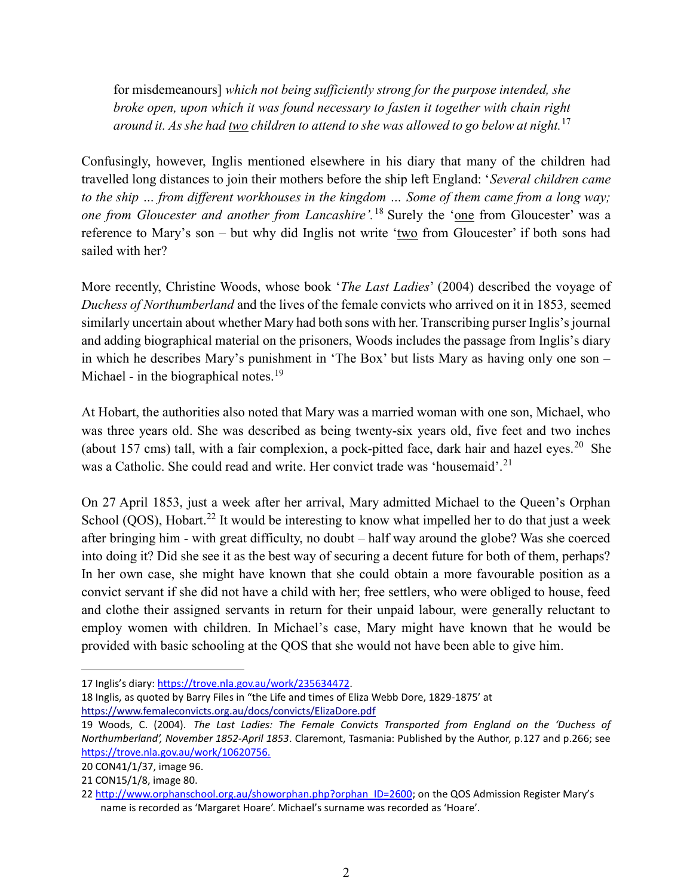for misdemeanours] which not being sufficiently strong for the purpose intended, she broke open, upon which it was found necessary to fasten it together with chain right around it. As she had <u>two</u> children to attend to she was allowed to go below at night.<sup>17</sup>

Confusingly, however, Inglis mentioned elsewhere in his diary that many of the children had travelled long distances to join their mothers before the ship left England: 'Several children came to the ship … from different workhouses in the kingdom … Some of them came from a long way; one from Gloucester and another from Lancashire'.<sup>18</sup> Surely the 'one from Gloucester' was a reference to Mary's son – but why did Inglis not write 'two from Gloucester' if both sons had sailed with her?

More recently, Christine Woods, whose book '*The Last Ladies*' (2004) described the voyage of Duchess of Northumberland and the lives of the female convicts who arrived on it in 1853, seemed similarly uncertain about whether Mary had both sons with her. Transcribing purser Inglis's journal and adding biographical material on the prisoners, Woods includes the passage from Inglis's diary in which he describes Mary's punishment in 'The Box' but lists Mary as having only one son – Michael - in the biographical notes.<sup>19</sup>

At Hobart, the authorities also noted that Mary was a married woman with one son, Michael, who was three years old. She was described as being twenty-six years old, five feet and two inches (about 157 cms) tall, with a fair complexion, a pock-pitted face, dark hair and hazel eyes.<sup>20</sup> She was a Catholic. She could read and write. Her convict trade was 'housemaid'.<sup>21</sup>

On 27 April 1853, just a week after her arrival, Mary admitted Michael to the Queen's Orphan School (QOS), Hobart.<sup>22</sup> It would be interesting to know what impelled her to do that just a week after bringing him - with great difficulty, no doubt – half way around the globe? Was she coerced into doing it? Did she see it as the best way of securing a decent future for both of them, perhaps? In her own case, she might have known that she could obtain a more favourable position as a convict servant if she did not have a child with her; free settlers, who were obliged to house, feed and clothe their assigned servants in return for their unpaid labour, were generally reluctant to employ women with children. In Michael's case, Mary might have known that he would be provided with basic schooling at the QOS that she would not have been able to give him.

17 Inglis's diary: https://trove.nla.gov.au/work/235634472.

<sup>18</sup> Inglis, as quoted by Barry Files in "the Life and times of Eliza Webb Dore, 1829-1875' at https://www.femaleconvicts.org.au/docs/convicts/ElizaDore.pdf

<sup>19</sup> Woods, C. (2004). The Last Ladies: The Female Convicts Transported from England on the 'Duchess of Northumberland', November 1852-April 1853. Claremont, Tasmania: Published by the Author, p.127 and p.266; see https://trove.nla.gov.au/work/10620756.

<sup>20</sup> CON41/1/37, image 96.

<sup>21</sup> CON15/1/8, image 80.

<sup>22</sup> http://www.orphanschool.org.au/showorphan.php?orphan\_ID=2600; on the QOS Admission Register Mary's name is recorded as 'Margaret Hoare'. Michael's surname was recorded as 'Hoare'.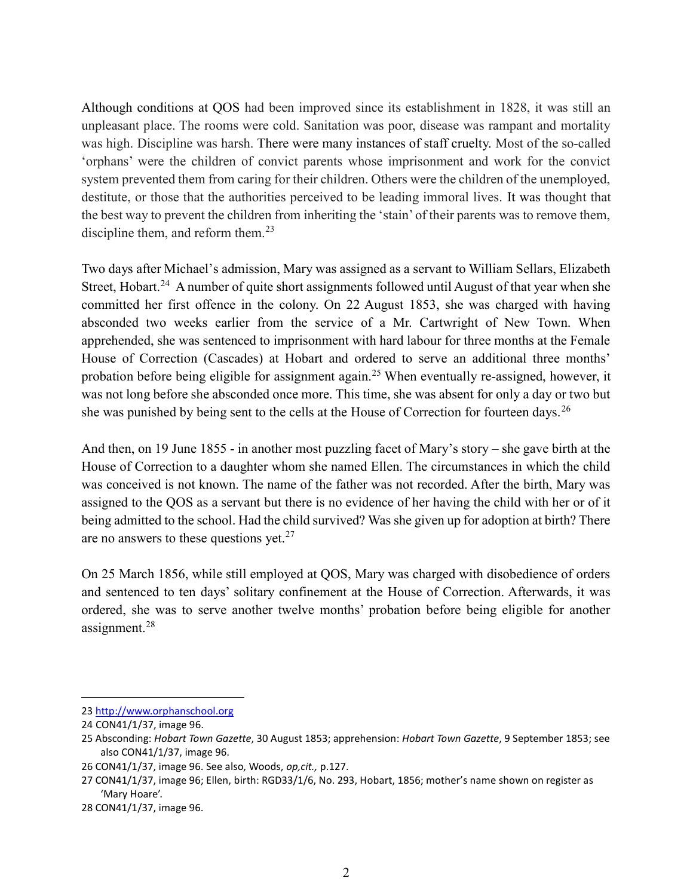Although conditions at QOS had been improved since its establishment in 1828, it was still an unpleasant place. The rooms were cold. Sanitation was poor, disease was rampant and mortality was high. Discipline was harsh. There were many instances of staff cruelty. Most of the so-called 'orphans' were the children of convict parents whose imprisonment and work for the convict system prevented them from caring for their children. Others were the children of the unemployed, destitute, or those that the authorities perceived to be leading immoral lives. It was thought that the best way to prevent the children from inheriting the 'stain' of their parents was to remove them, discipline them, and reform them. $^{23}$ 

Two days after Michael's admission, Mary was assigned as a servant to William Sellars, Elizabeth Street. Hobart.<sup>24</sup> A number of quite short assignments followed until August of that year when she committed her first offence in the colony. On 22 August 1853, she was charged with having absconded two weeks earlier from the service of a Mr. Cartwright of New Town. When apprehended, she was sentenced to imprisonment with hard labour for three months at the Female House of Correction (Cascades) at Hobart and ordered to serve an additional three months' probation before being eligible for assignment again.<sup>25</sup> When eventually re-assigned, however, it was not long before she absconded once more. This time, she was absent for only a day or two but she was punished by being sent to the cells at the House of Correction for fourteen days.<sup>26</sup>

And then, on 19 June 1855 - in another most puzzling facet of Mary's story – she gave birth at the House of Correction to a daughter whom she named Ellen. The circumstances in which the child was conceived is not known. The name of the father was not recorded. After the birth, Mary was assigned to the QOS as a servant but there is no evidence of her having the child with her or of it being admitted to the school. Had the child survived? Was she given up for adoption at birth? There are no answers to these questions yet. $27$ 

On 25 March 1856, while still employed at QOS, Mary was charged with disobedience of orders and sentenced to ten days' solitary confinement at the House of Correction. Afterwards, it was ordered, she was to serve another twelve months' probation before being eligible for another assignment.<sup>28</sup>

<sup>23</sup> http://www.orphanschool.org

<sup>24</sup> CON41/1/37, image 96.

<sup>25</sup> Absconding: Hobart Town Gazette, 30 August 1853; apprehension: Hobart Town Gazette, 9 September 1853; see also CON41/1/37, image 96.

<sup>26</sup> CON41/1/37, image 96. See also, Woods, op,cit., p.127.

<sup>27</sup> CON41/1/37, image 96; Ellen, birth: RGD33/1/6, No. 293, Hobart, 1856; mother's name shown on register as 'Mary Hoare'.

<sup>28</sup> CON41/1/37, image 96.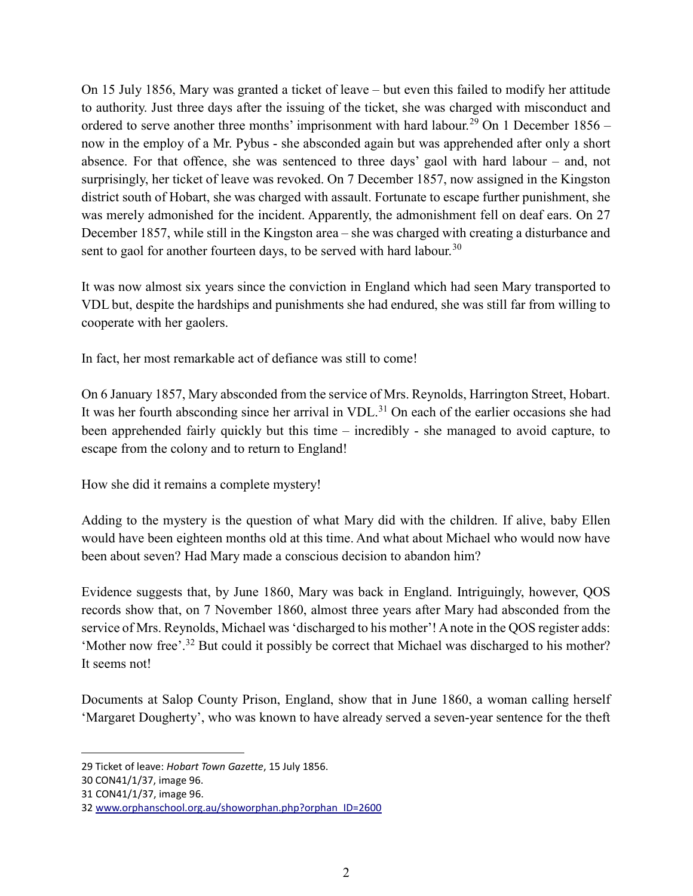On 15 July 1856, Mary was granted a ticket of leave – but even this failed to modify her attitude to authority. Just three days after the issuing of the ticket, she was charged with misconduct and ordered to serve another three months' imprisonment with hard labour.<sup>29</sup> On 1 December 1856 – now in the employ of a Mr. Pybus - she absconded again but was apprehended after only a short absence. For that offence, she was sentenced to three days' gaol with hard labour – and, not surprisingly, her ticket of leave was revoked. On 7 December 1857, now assigned in the Kingston district south of Hobart, she was charged with assault. Fortunate to escape further punishment, she was merely admonished for the incident. Apparently, the admonishment fell on deaf ears. On 27 December 1857, while still in the Kingston area – she was charged with creating a disturbance and sent to gaol for another fourteen days, to be served with hard labour.<sup>30</sup>

It was now almost six years since the conviction in England which had seen Mary transported to VDL but, despite the hardships and punishments she had endured, she was still far from willing to cooperate with her gaolers.

In fact, her most remarkable act of defiance was still to come!

On 6 January 1857, Mary absconded from the service of Mrs. Reynolds, Harrington Street, Hobart. It was her fourth absconding since her arrival in VDL. $31$  On each of the earlier occasions she had been apprehended fairly quickly but this time – incredibly - she managed to avoid capture, to escape from the colony and to return to England!

How she did it remains a complete mystery!

Adding to the mystery is the question of what Mary did with the children. If alive, baby Ellen would have been eighteen months old at this time. And what about Michael who would now have been about seven? Had Mary made a conscious decision to abandon him?

Evidence suggests that, by June 1860, Mary was back in England. Intriguingly, however, QOS records show that, on 7 November 1860, almost three years after Mary had absconded from the service of Mrs. Reynolds, Michael was 'discharged to his mother'! A note in the QOS register adds: 'Mother now free'.<sup>32</sup> But could it possibly be correct that Michael was discharged to his mother? It seems not!

Documents at Salop County Prison, England, show that in June 1860, a woman calling herself 'Margaret Dougherty', who was known to have already served a seven-year sentence for the theft

<sup>29</sup> Ticket of leave: Hobart Town Gazette, 15 July 1856.

<sup>30</sup> CON41/1/37, image 96.

<sup>31</sup> CON41/1/37, image 96.

<sup>32</sup> www.orphanschool.org.au/showorphan.php?orphan\_ID=2600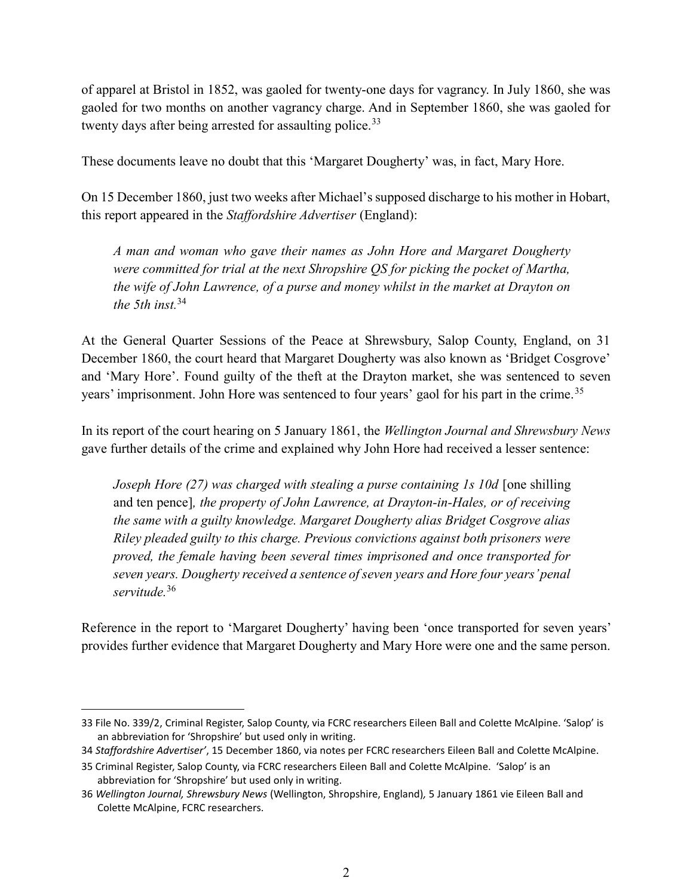of apparel at Bristol in 1852, was gaoled for twenty-one days for vagrancy. In July 1860, she was gaoled for two months on another vagrancy charge. And in September 1860, she was gaoled for twenty days after being arrested for assaulting police. $33$ 

These documents leave no doubt that this 'Margaret Dougherty' was, in fact, Mary Hore.

On 15 December 1860, just two weeks after Michael's supposed discharge to his mother in Hobart, this report appeared in the Staffordshire Advertiser (England):

A man and woman who gave their names as John Hore and Margaret Dougherty were committed for trial at the next Shropshire QS for picking the pocket of Martha, the wife of John Lawrence, of a purse and money whilst in the market at Drayton on the 5th inst  $34$ 

At the General Quarter Sessions of the Peace at Shrewsbury, Salop County, England, on 31 December 1860, the court heard that Margaret Dougherty was also known as 'Bridget Cosgrove' and 'Mary Hore'. Found guilty of the theft at the Drayton market, she was sentenced to seven years' imprisonment. John Hore was sentenced to four years' gaol for his part in the crime.<sup>35</sup>

In its report of the court hearing on 5 January 1861, the Wellington Journal and Shrewsbury News gave further details of the crime and explained why John Hore had received a lesser sentence:

Joseph Hore (27) was charged with stealing a purse containing 1s 10d [one shilling and ten pence], the property of John Lawrence, at Drayton-in-Hales, or of receiving the same with a guilty knowledge. Margaret Dougherty alias Bridget Cosgrove alias Riley pleaded guilty to this charge. Previous convictions against both prisoners were proved, the female having been several times imprisoned and once transported for seven years. Dougherty received a sentence of seven years and Hore four years' penal servitude.<sup>36</sup>

Reference in the report to 'Margaret Dougherty' having been 'once transported for seven years' provides further evidence that Margaret Dougherty and Mary Hore were one and the same person.

<sup>33</sup> File No. 339/2, Criminal Register, Salop County, via FCRC researchers Eileen Ball and Colette McAlpine. 'Salop' is an abbreviation for 'Shropshire' but used only in writing.

<sup>34</sup> Staffordshire Advertiser', 15 December 1860, via notes per FCRC researchers Eileen Ball and Colette McAlpine.

<sup>35</sup> Criminal Register, Salop County, via FCRC researchers Eileen Ball and Colette McAlpine. 'Salop' is an abbreviation for 'Shropshire' but used only in writing.

<sup>36</sup> Wellington Journal, Shrewsbury News (Wellington, Shropshire, England), 5 January 1861 vie Eileen Ball and Colette McAlpine, FCRC researchers.